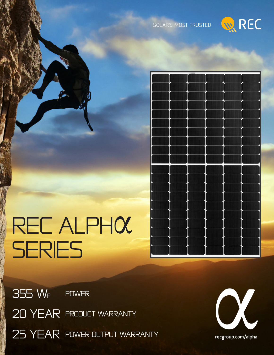



## REC ALPHOL **SERIES**

355 W<sub>P</sub> POWER 20 YEAR PRODUCT WARRANTY 25 YEAR POWER OUTPUT WARRANTY



recgroup.com/alpha